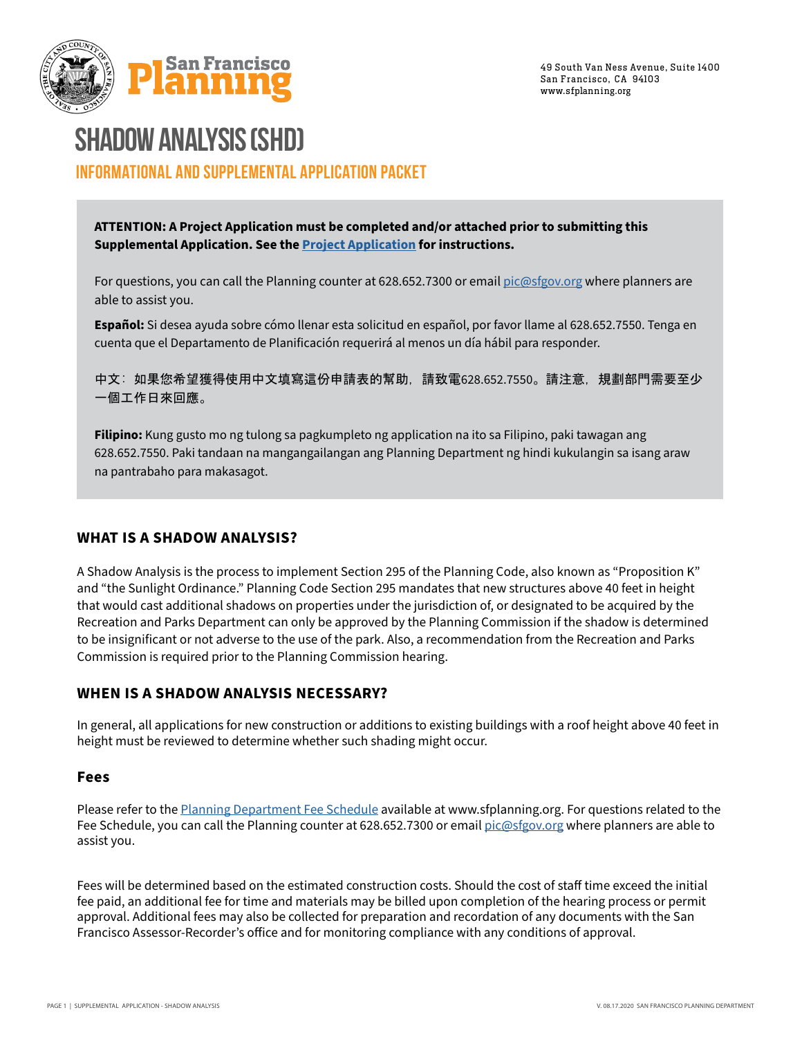



## **SHADOW ANALYSIS (SHD) INFORMATIONAL AND SUPPLEMENTAL APPLICATION PACKET**

**ATTENTION: A Project Application must be completed and/or attached prior to submitting this Supplemental Application. See the [Project Application](https://sfplanning.org/resource/prj-application) for instructions.**

For questions, you can call the Planning counter at 628.652.7300 or email [pic@sfgov.org](mailto:pic%40sfgov.org?subject=) where planners are able to assist you.

**Español:** Si desea ayuda sobre cómo llenar esta solicitud en español, por favor llame al 628.652.7550. Tenga en cuenta que el Departamento de Planificación requerirá al menos un día hábil para responder.

中文: 如果您希望獲得使用中文填寫這份申請表的幫助,請致電628.652.7550。請注意,規劃部門需要至少 一個工作日來回應。

**Filipino:** Kung gusto mo ng tulong sa pagkumpleto ng application na ito sa Filipino, paki tawagan ang 628.652.7550. Paki tandaan na mangangailangan ang Planning Department ng hindi kukulangin sa isang araw na pantrabaho para makasagot.

### **WHAT IS A SHADOW ANALYSIS?**

A Shadow Analysis is the process to implement Section 295 of the Planning Code, also known as "Proposition K" and "the Sunlight Ordinance." Planning Code Section 295 mandates that new structures above 40 feet in height that would cast additional shadows on properties under the jurisdiction of, or designated to be acquired by the Recreation and Parks Department can only be approved by the Planning Commission if the shadow is determined to be insignificant or not adverse to the use of the park. Also, a recommendation from the Recreation and Parks Commission is required prior to the Planning Commission hearing.

### **WHEN IS A SHADOW ANALYSIS NECESSARY?**

In general, all applications for new construction or additions to existing buildings with a roof height above 40 feet in height must be reviewed to determine whether such shading might occur.

### **Fees**

Please refer to the [Planning Department Fee Schedule](https://sfplanning.org/resource/fee-schedule-applications) available at www.sfplanning.org. For questions related to the Fee Schedule, you can call the Planning counter at 628.652.7300 or email [pic@sfgov.org](mailto:pic%40sfgov.org?subject=) where planners are able to assist you.

Fees will be determined based on the estimated construction costs. Should the cost of staff time exceed the initial fee paid, an additional fee for time and materials may be billed upon completion of the hearing process or permit approval. Additional fees may also be collected for preparation and recordation of any documents with the San Francisco Assessor-Recorder's office and for monitoring compliance with any conditions of approval.